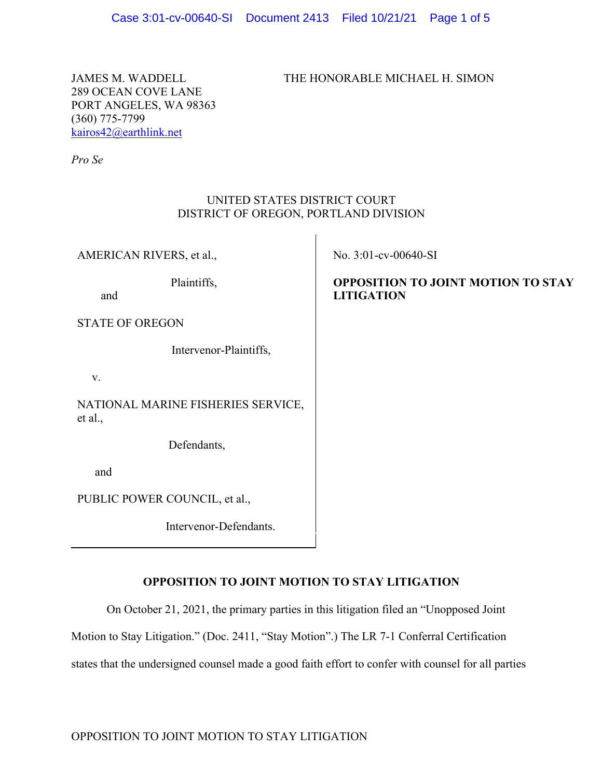JAMES M. WADDELL THE HONORABLE MICHAEL H. SIMON

289 OCEAN COVE LANE PORT ANGELES, WA 98363 (360) 775-7799 kairos42@earthlink.net

*Pro Se*

## UNITED STATES DISTRICT COURT DISTRICT OF OREGON, PORTLAND DIVISION

AMERICAN RIVERS, et al.,

Plaintiffs,

and

STATE OF OREGON

Intervenor-Plaintiffs,

v.

NATIONAL MARINE FISHERIES SERVICE, et al.,

Defendants,

and

PUBLIC POWER COUNCIL, et al.,

Intervenor-Defendants.

No. 3:01-cv-00640-SI

# **OPPOSITION TO JOINT MOTION TO STAY LITIGATION**

# **OPPOSITION TO JOINT MOTION TO STAY LITIGATION**

On October 21, 2021, the primary parties in this litigation filed an "Unopposed Joint

Motion to Stay Litigation." (Doc. 2411, "Stay Motion".) The LR 7-1 Conferral Certification

states that the undersigned counsel made a good faith effort to confer with counsel for all parties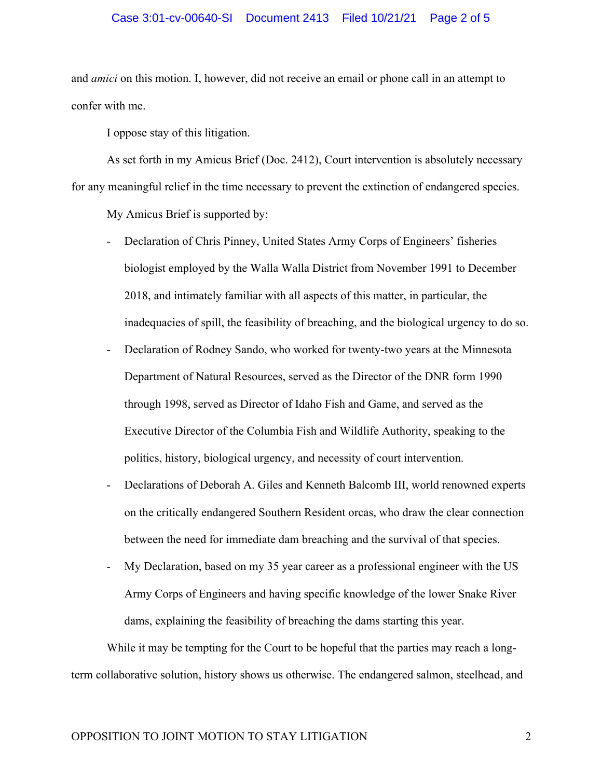#### Case 3:01-cv-00640-SI Document 2413 Filed 10/21/21 Page 2 of 5

and *amici* on this motion. I, however, did not receive an email or phone call in an attempt to confer with me.

I oppose stay of this litigation.

As set forth in my Amicus Brief (Doc. 2412), Court intervention is absolutely necessary for any meaningful relief in the time necessary to prevent the extinction of endangered species.

My Amicus Brief is supported by:

- Declaration of Chris Pinney, United States Army Corps of Engineers' fisheries biologist employed by the Walla Walla District from November 1991 to December 2018, and intimately familiar with all aspects of this matter, in particular, the inadequacies of spill, the feasibility of breaching, and the biological urgency to do so.
- Declaration of Rodney Sando, who worked for twenty-two years at the Minnesota Department of Natural Resources, served as the Director of the DNR form 1990 through 1998, served as Director of Idaho Fish and Game, and served as the Executive Director of the Columbia Fish and Wildlife Authority, speaking to the politics, history, biological urgency, and necessity of court intervention.
- Declarations of Deborah A. Giles and Kenneth Balcomb III, world renowned experts on the critically endangered Southern Resident orcas, who draw the clear connection between the need for immediate dam breaching and the survival of that species.
- My Declaration, based on my 35 year career as a professional engineer with the US Army Corps of Engineers and having specific knowledge of the lower Snake River dams, explaining the feasibility of breaching the dams starting this year.

While it may be tempting for the Court to be hopeful that the parties may reach a longterm collaborative solution, history shows us otherwise. The endangered salmon, steelhead, and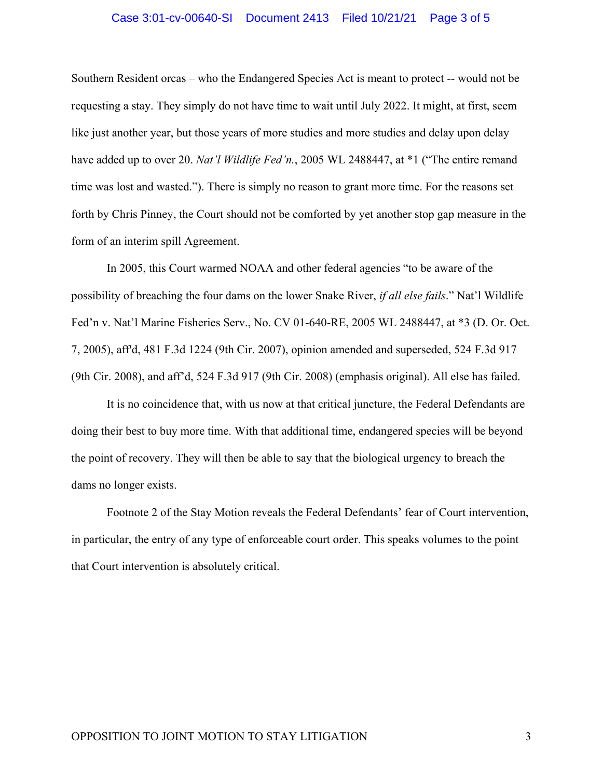#### Case 3:01-cv-00640-SI Document 2413 Filed 10/21/21 Page 3 of 5

Southern Resident orcas – who the Endangered Species Act is meant to protect -- would not be requesting a stay. They simply do not have time to wait until July 2022. It might, at first, seem like just another year, but those years of more studies and more studies and delay upon delay have added up to over 20. *Nat'l Wildlife Fed'n.*, 2005 WL 2488447, at \*1 ("The entire remand time was lost and wasted."). There is simply no reason to grant more time. For the reasons set forth by Chris Pinney, the Court should not be comforted by yet another stop gap measure in the form of an interim spill Agreement.

In 2005, this Court warmed NOAA and other federal agencies "to be aware of the possibility of breaching the four dams on the lower Snake River, *if all else fails*." Nat'l Wildlife Fed'n v. Nat'l Marine Fisheries Serv., No. CV 01-640-RE, 2005 WL 2488447, at \*3 (D. Or. Oct. 7, 2005), aff'd, 481 F.3d 1224 (9th Cir. 2007), opinion amended and superseded, 524 F.3d 917 (9th Cir. 2008), and aff'd, 524 F.3d 917 (9th Cir. 2008) (emphasis original). All else has failed.

It is no coincidence that, with us now at that critical juncture, the Federal Defendants are doing their best to buy more time. With that additional time, endangered species will be beyond the point of recovery. They will then be able to say that the biological urgency to breach the dams no longer exists.

Footnote 2 of the Stay Motion reveals the Federal Defendants' fear of Court intervention, in particular, the entry of any type of enforceable court order. This speaks volumes to the point that Court intervention is absolutely critical.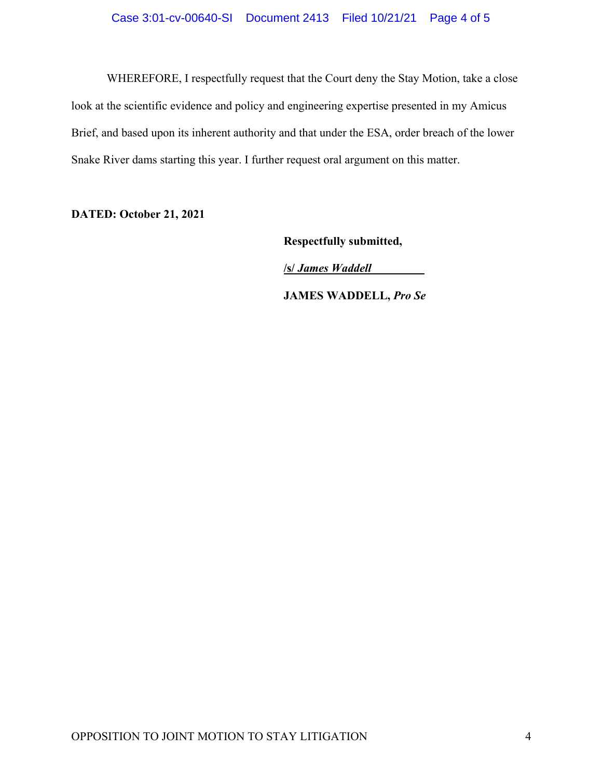WHEREFORE, I respectfully request that the Court deny the Stay Motion, take a close look at the scientific evidence and policy and engineering expertise presented in my Amicus Brief, and based upon its inherent authority and that under the ESA, order breach of the lower Snake River dams starting this year. I further request oral argument on this matter.

**DATED: October 21, 2021**

**Respectfully submitted,** 

**/s/** *James Waddell\_\_\_\_\_\_\_\_\_*

 **JAMES WADDELL,** *Pro Se*